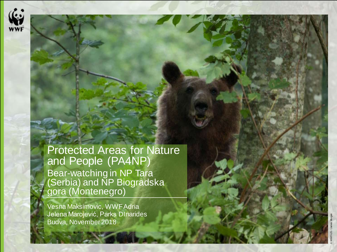

Protected Areas for Nature and People (PA4NP) Bear -watching in NP Tara (Serbia) and NP Biogradska gora (Montenegro)

Vesna Maksimovic, WWFAdria Jelena Marojević, Parks DInarides Budva, November 2018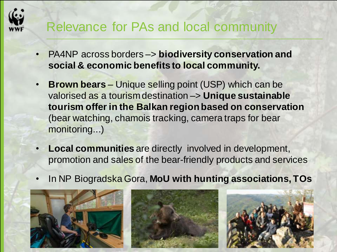#### Relevance for PAs and local community

- PA4NP across borders –> **biodiversity conservation and social & economic benefits to local community.**
- **Brown bears** Unique selling point (USP) which can be valorised as a tourism destination –> **Unique sustainable tourism offer in the Balkan region based on conservation**  (bear watching, chamois tracking, camera traps for bear monitoring...)
- **Local communities** are directly involved in development, promotion and sales of the bear-friendly products and services
- In NP Biogradska Gora, **MoU with hunting associations, TOs**





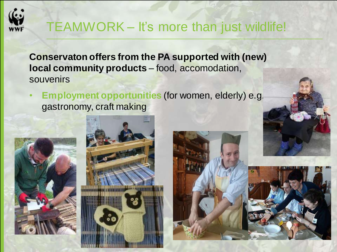

## TEAMWORK – It's more than just wildlife!

**Conservaton offers from the PA supported with (new) local community products** – food, accomodation, souvenirs

• **Employment opportunities** (for women, elderly) e.g. gastronomy, craft making







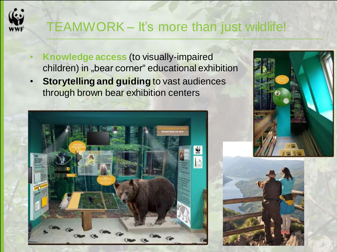## TEAMWORK – It's more than just wildlife!

- **Knowledge access** (to visually-impaired children) in "bear corner" educational exhibition
- **Storytelling and guiding** to vast audiences through brown bear exhibition centers





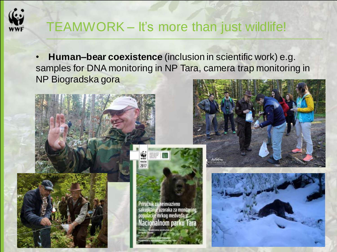

#### TEAMWORK – It's more than just wildlife!

• **Human–bear coexistence** (inclusion in scientific work) e.g. samples for DNA monitoring in NP Tara, camera trap monitoring in NP Biogradska gora







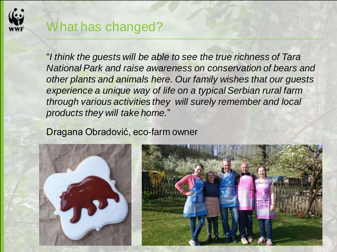

#### What has changed?

"*I think the guests will be able to see the true richness of Tara National Park and raise awareness on conservation of bears and other plants and animals here. Our family wishes that our guests experience a unique way of life on a typical Serbian rural farm through various activities they will surely remember and local products they will take home.*"

#### Dragana Obradović, eco-farm owner